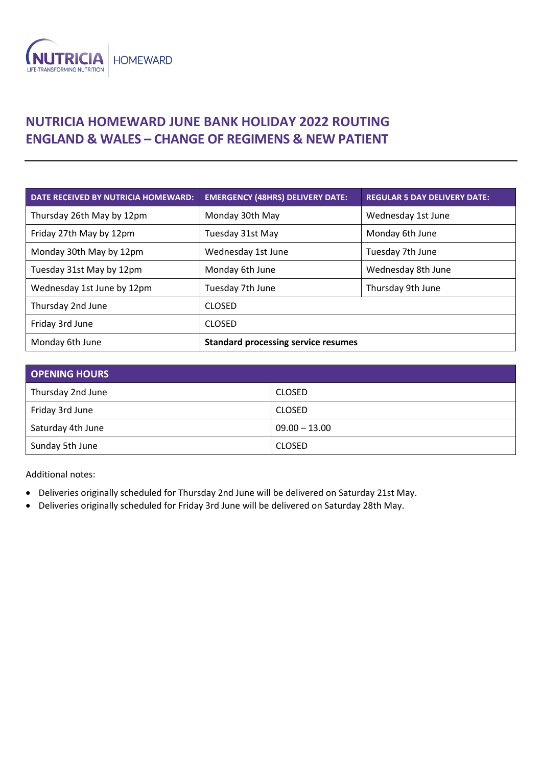

## **NUTRICIA HOMEWARD JUNE BANK HOLIDAY 2022 ROUTING ENGLAND & WALES – CHANGE OF REGIMENS & NEW PATIENT**

| <b>DATE RECEIVED BY NUTRICIA HOMEWARD:</b> | <b>EMERGENCY (48HRS) DELIVERY DATE:</b>    | <b>REGULAR 5 DAY DELIVERY DATE:</b> |
|--------------------------------------------|--------------------------------------------|-------------------------------------|
| Thursday 26th May by 12pm                  | Monday 30th May                            | Wednesday 1st June                  |
| Friday 27th May by 12pm                    | Tuesday 31st May                           | Monday 6th June                     |
| Monday 30th May by 12pm                    | Wednesday 1st June                         | Tuesday 7th June                    |
| Tuesday 31st May by 12pm                   | Monday 6th June                            | Wednesday 8th June                  |
| Wednesday 1st June by 12pm                 | Tuesday 7th June                           | Thursday 9th June                   |
| Thursday 2nd June                          | <b>CLOSED</b>                              |                                     |
| Friday 3rd June                            | <b>CLOSED</b>                              |                                     |
| Monday 6th June                            | <b>Standard processing service resumes</b> |                                     |

| <b>OPENING HOURS</b> |                 |  |
|----------------------|-----------------|--|
| Thursday 2nd June    | <b>CLOSED</b>   |  |
| Friday 3rd June      | <b>CLOSED</b>   |  |
| Saturday 4th June    | $09.00 - 13.00$ |  |
| Sunday 5th June      | <b>CLOSED</b>   |  |

Additional notes:

- Deliveries originally scheduled for Thursday 2nd June will be delivered on Saturday 21st May.
- Deliveries originally scheduled for Friday 3rd June will be delivered on Saturday 28th May.